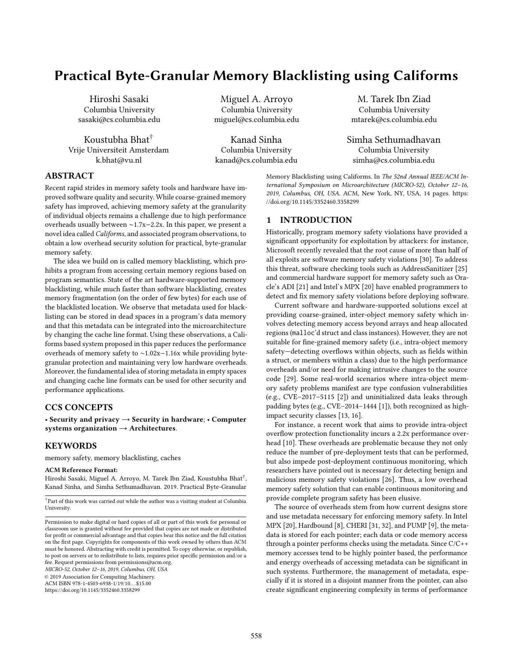# Practical Byte-Granular Memory Blacklisting using Califorms

Hiroshi Sasaki Columbia University sasaki@cs.columbia.edu

Koustubha Bhat† Vrije Universiteit Amsterdam k.bhat@vu.nl

Miguel A. Arroyo Columbia University miguel@cs.columbia.edu

Kanad Sinha Columbia University kanad@cs.columbia.edu

M. Tarek Ibn Ziad Columbia University mtarek@cs.columbia.edu

Simha Sethumadhavan Columbia University simha@cs.columbia.edu

# ABSTRACT

Recent rapid strides in memory safety tools and hardware have improved software quality and security. While coarse-grained memory safety has improved, achieving memory safety at the granularity of individual objects remains a challenge due to high performance overheads usually between ∼1.7x−2.2x. In this paper, we present a novel idea called Califorms, and associated program observations, to obtain a low overhead security solution for practical, byte-granular memory safety.

The idea we build on is called memory blacklisting, which prohibits a program from accessing certain memory regions based on program semantics. State of the art hardware-supported memory blacklisting, while much faster than software blacklisting, creates memory fragmentation (on the order of few bytes) for each use of the blacklisted location. We observe that metadata used for blacklisting can be stored in dead spaces in a program's data memory and that this metadata can be integrated into the microarchitecture by changing the cache line format. Using these observations, a Califorms based system proposed in this paper reduces the performance overheads of memory safety to ∼1.02x−1.16x while providing bytegranular protection and maintaining very low hardware overheads. Moreover, the fundamental idea of storing metadata in empty spaces and changing cache line formats can be used for other security and performance applications.

# CCS CONCEPTS

• Security and privacy  $\rightarrow$  Security in hardware; • Computer systems organization  $\rightarrow$  Architectures.

## **KEYWORDS**

memory safety, memory blacklisting, caches

#### ACM Reference Format:

Hiroshi Sasaki, Miguel A. Arroyo, M. Tarek Ibn Ziad, Koustubha Bhat† , Kanad Sinha, and Simha Sethumadhavan. 2019. Practical Byte-Granular

MICRO-52, October 12–16, 2019, Columbus, OH, USA

© 2019 Association for Computing Machinery.

ACM ISBN 978-1-4503-6938-1/19/10. . . \$15.00

<https://doi.org/10.1145/3352460.3358299>

Memory Blacklisting using Califorms. In The 52nd Annual IEEE/ACM International Symposium on Microarchitecture (MICRO-52), October 12–16, 2019, Columbus, OH, USA. ACM, New York, NY, USA, 14 pages. [https:](https://doi.org/10.1145/3352460.3358299) [//doi.org/10.1145/3352460.3358299](https://doi.org/10.1145/3352460.3358299)

## 1 INTRODUCTION

Historically, program memory safety violations have provided a significant opportunity for exploitation by attackers: for instance, Microsoft recently revealed that the root cause of more than half of all exploits are software memory safety violations [30]. To address this threat, software checking tools such as AddressSanitizer [25] and commercial hardware support for memory safety such as Oracle's ADI [21] and Intel's MPX [20] have enabled programmers to detect and fix memory safety violations before deploying software.

Current software and hardware-supported solutions excel at providing coarse-grained, inter-object memory safety which involves detecting memory access beyond arrays and heap allocated regions (malloc'd struct and class instances). However, they are not suitable for fine-grained memory safety (i.e., intra-object memory safety—detecting overflows within objects, such as fields within a struct, or members within a class) due to the high performance overheads and/or need for making intrusive changes to the source code [29]. Some real-world scenarios where intra-object memory safety problems manifest are type confusion vulnerabilities (e.g., CVE–2017–5115 [2]) and uninitialized data leaks through padding bytes (e.g., CVE–2014–1444 [1]), both recognized as highimpact security classes [13, 16].

For instance, a recent work that aims to provide intra-object overflow protection functionality incurs a 2.2x performance overhead [10]. These overheads are problematic because they not only reduce the number of pre-deployment tests that can be performed, but also impede post-deployment continuous monitoring, which researchers have pointed out is necessary for detecting benign and malicious memory safety violations [26]. Thus, a low overhead memory safety solution that can enable continuous monitoring and provide complete program safety has been elusive.

The source of overheads stem from how current designs store and use metadata necessary for enforcing memory safety. In Intel MPX [20], Hardbound [8], CHERI [31, 32], and PUMP [9], the metadata is stored for each pointer; each data or code memory access through a pointer performs checks using the metadata. Since C/C++ memory accesses tend to be highly pointer based, the performance and energy overheads of accessing metadata can be significant in such systems. Furthermore, the management of metadata, especially if it is stored in a disjoint manner from the pointer, can also create significant engineering complexity in terms of performance

 $^\dagger$  Part of this work was carried out while the author was a visiting student at Columbia University.

Permission to make digital or hard copies of all or part of this work for personal or classroom use is granted without fee provided that copies are not made or distributed for profit or commercial advantage and that copies bear this notice and the full citation on the first page. Copyrights for components of this work owned by others than ACM must be honored. Abstracting with credit is permitted. To copy otherwise, or republish, to post on servers or to redistribute to lists, requires prior specific permission and/or a fee. Request permissions from permissions@acm.org.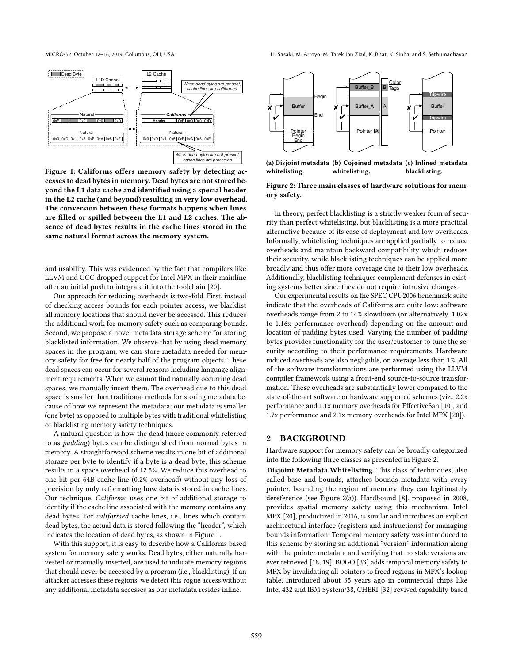

Figure 1: Califorms offers memory safety by detecting accesses to dead bytes in memory. Dead bytes are not stored beyond the L1 data cache and identified using a special header in the L2 cache (and beyond) resulting in very low overhead. The conversion between these formats happens when lines are filled or spilled between the L1 and L2 caches. The absence of dead bytes results in the cache lines stored in the same natural format across the memory system.

and usability. This was evidenced by the fact that compilers like LLVM and GCC dropped support for Intel MPX in their mainline after an initial push to integrate it into the toolchain [20].

Our approach for reducing overheads is two-fold. First, instead of checking access bounds for each pointer access, we blacklist all memory locations that should never be accessed. This reduces the additional work for memory safety such as comparing bounds. Second, we propose a novel metadata storage scheme for storing blacklisted information. We observe that by using dead memory spaces in the program, we can store metadata needed for memory safety for free for nearly half of the program objects. These dead spaces can occur for several reasons including language alignment requirements. When we cannot find naturally occurring dead spaces, we manually insert them. The overhead due to this dead space is smaller than traditional methods for storing metadata because of how we represent the metadata: our metadata is smaller (one byte) as opposed to multiple bytes with traditional whitelisting or blacklisting memory safety techniques.

A natural question is how the dead (more commonly referred to as padding) bytes can be distinguished from normal bytes in memory. A straightforward scheme results in one bit of additional storage per byte to identify if a byte is a dead byte; this scheme results in a space overhead of 12.5%. We reduce this overhead to one bit per 64B cache line (0.2% overhead) without any loss of precision by only reformatting how data is stored in cache lines. Our technique, Califorms, uses one bit of additional storage to identify if the cache line associated with the memory contains any dead bytes. For califormed cache lines, i.e., lines which contain dead bytes, the actual data is stored following the "header", which indicates the location of dead bytes, as shown in Figure 1.

With this support, it is easy to describe how a Califorms based system for memory safety works. Dead bytes, either naturally harvested or manually inserted, are used to indicate memory regions that should never be accessed by a program (i.e., blacklisting). If an attacker accesses these regions, we detect this rogue access without any additional metadata accesses as our metadata resides inline.

MICRO-52, October 12-16, 2019, Columbus, OH, USA H. Sasaki, M. Arroyo, M. Tarek Ibn Ziad, K. Bhat, K. Sinha, and S. Sethumadhavan



(a) Disjoint metadata (b) Cojoined metadata (c) Inlined metadata whitelisting. whitelisting. blacklisting.

#### Figure 2: Three main classes of hardware solutions for memory safety.

In theory, perfect blacklisting is a strictly weaker form of security than perfect whitelisting, but blacklisting is a more practical alternative because of its ease of deployment and low overheads. Informally, whitelisting techniques are applied partially to reduce overheads and maintain backward compatibility which reduces their security, while blacklisting techniques can be applied more broadly and thus offer more coverage due to their low overheads. Additionally, blacklisting techniques complement defenses in existing systems better since they do not require intrusive changes.

Our experimental results on the SPEC CPU2006 benchmark suite indicate that the overheads of Califorms are quite low: software overheads range from 2 to 14% slowdown (or alternatively, 1.02x to 1.16x performance overhead) depending on the amount and location of padding bytes used. Varying the number of padding bytes provides functionality for the user/customer to tune the security according to their performance requirements. Hardware induced overheads are also negligible, on average less than 1%. All of the software transformations are performed using the LLVM compiler framework using a front-end source-to-source transformation. These overheads are substantially lower compared to the state-of-the-art software or hardware supported schemes (viz., 2.2x performance and 1.1x memory overheads for EffectiveSan [10], and 1.7x performance and 2.1x memory overheads for Intel MPX [20]).

## 2 BACKGROUND

Hardware support for memory safety can be broadly categorized into the following three classes as presented in Figure 2.

Disjoint Metadata Whitelisting. This class of techniques, also called base and bounds, attaches bounds metadata with every pointer, bounding the region of memory they can legitimately dereference (see Figure 2(a)). Hardbound [8], proposed in 2008, provides spatial memory safety using this mechanism. Intel MPX [20], productized in 2016, is similar and introduces an explicit architectural interface (registers and instructions) for managing bounds information. Temporal memory safety was introduced to this scheme by storing an additional "version" information along with the pointer metadata and verifying that no stale versions are ever retrieved [18, 19]. BOGO [33] adds temporal memory safety to MPX by invalidating all pointers to freed regions in MPX's lookup table. Introduced about 35 years ago in commercial chips like Intel 432 and IBM System/38, CHERI [32] revived capability based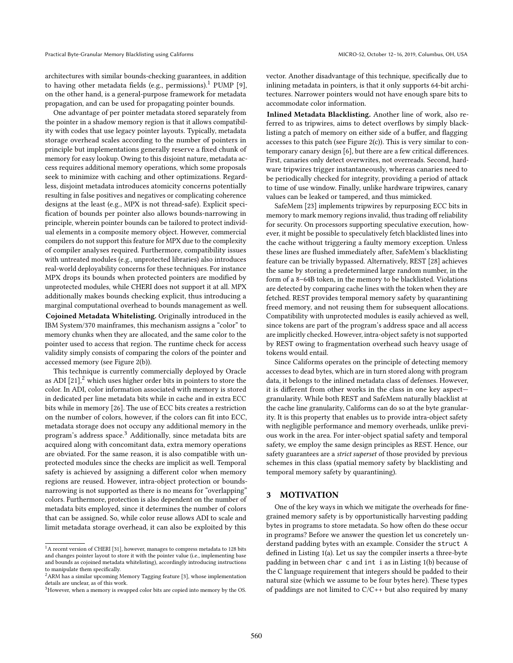architectures with similar bounds-checking guarantees, in addition to having other metadata fields (e.g., permissions).<sup>1</sup> PUMP [9], on the other hand, is a general-purpose framework for metadata propagation, and can be used for propagating pointer bounds.

One advantage of per pointer metadata stored separately from the pointer in a shadow memory region is that it allows compatibility with codes that use legacy pointer layouts. Typically, metadata storage overhead scales according to the number of pointers in principle but implementations generally reserve a fixed chunk of memory for easy lookup. Owing to this disjoint nature, metadata access requires additional memory operations, which some proposals seek to minimize with caching and other optimizations. Regardless, disjoint metadata introduces atomicity concerns potentially resulting in false positives and negatives or complicating coherence designs at the least (e.g., MPX is not thread-safe). Explicit specification of bounds per pointer also allows bounds-narrowing in principle, wherein pointer bounds can be tailored to protect individual elements in a composite memory object. However, commercial compilers do not support this feature for MPX due to the complexity of compiler analyses required. Furthermore, compatibility issues with untreated modules (e.g., unprotected libraries) also introduces real-world deployability concerns for these techniques. For instance MPX drops its bounds when protected pointers are modified by unprotected modules, while CHERI does not support it at all. MPX additionally makes bounds checking explicit, thus introducing a marginal computational overhead to bounds management as well.

Cojoined Metadata Whitelisting. Originally introduced in the IBM System/370 mainframes, this mechanism assigns a "color" to memory chunks when they are allocated, and the same color to the pointer used to access that region. The runtime check for access validity simply consists of comparing the colors of the pointer and accessed memory (see Figure 2(b)).

This technique is currently commercially deployed by Oracle as ADI  $[21]$ ,<sup>2</sup> which uses higher order bits in pointers to store the color. In ADI, color information associated with memory is stored in dedicated per line metadata bits while in cache and in extra ECC bits while in memory [26]. The use of ECC bits creates a restriction on the number of colors, however, if the colors can fit into ECC, metadata storage does not occupy any additional memory in the program's address space.<sup>3</sup> Additionally, since metadata bits are acquired along with concomitant data, extra memory operations are obviated. For the same reason, it is also compatible with unprotected modules since the checks are implicit as well. Temporal safety is achieved by assigning a different color when memory regions are reused. However, intra-object protection or boundsnarrowing is not supported as there is no means for "overlapping" colors. Furthermore, protection is also dependent on the number of metadata bits employed, since it determines the number of colors that can be assigned. So, while color reuse allows ADI to scale and limit metadata storage overhead, it can also be exploited by this

vector. Another disadvantage of this technique, specifically due to inlining metadata in pointers, is that it only supports 64-bit architectures. Narrower pointers would not have enough spare bits to accommodate color information.

Inlined Metadata Blacklisting. Another line of work, also referred to as tripwires, aims to detect overflows by simply blacklisting a patch of memory on either side of a buffer, and flagging accesses to this patch (see Figure 2(c)). This is very similar to contemporary canary design [6], but there are a few critical differences. First, canaries only detect overwrites, not overreads. Second, hardware tripwires trigger instantaneously, whereas canaries need to be periodically checked for integrity, providing a period of attack to time of use window. Finally, unlike hardware tripwires, canary values can be leaked or tampered, and thus mimicked.

SafeMem [23] implements tripwires by repurposing ECC bits in memory to mark memory regions invalid, thus trading off reliability for security. On processors supporting speculative execution, however, it might be possible to speculatively fetch blacklisted lines into the cache without triggering a faulty memory exception. Unless these lines are flushed immediately after, SafeMem's blacklisting feature can be trivially bypassed. Alternatively, REST [28] achieves the same by storing a predetermined large random number, in the form of a 8–64B token, in the memory to be blacklisted. Violations are detected by comparing cache lines with the token when they are fetched. REST provides temporal memory safety by quarantining freed memory, and not reusing them for subsequent allocations. Compatibility with unprotected modules is easily achieved as well, since tokens are part of the program's address space and all access are implicitly checked. However, intra-object safety is not supported by REST owing to fragmentation overhead such heavy usage of tokens would entail.

Since Califorms operates on the principle of detecting memory accesses to dead bytes, which are in turn stored along with program data, it belongs to the inlined metadata class of defenses. However, it is different from other works in the class in one key aspect granularity. While both REST and SafeMem naturally blacklist at the cache line granularity, Califorms can do so at the byte granularity. It is this property that enables us to provide intra-object safety with negligible performance and memory overheads, unlike previous work in the area. For inter-object spatial safety and temporal safety, we employ the same design principles as REST. Hence, our safety guarantees are a strict superset of those provided by previous schemes in this class (spatial memory safety by blacklisting and temporal memory safety by quarantining).

#### 3 MOTIVATION

One of the key ways in which we mitigate the overheads for finegrained memory safety is by opportunistically harvesting padding bytes in programs to store metadata. So how often do these occur in programs? Before we answer the question let us concretely understand padding bytes with an example. Consider the struct A defined in Listing 1(a). Let us say the compiler inserts a three-byte padding in between char c and int i as in Listing 1(b) because of the C language requirement that integers should be padded to their natural size (which we assume to be four bytes here). These types of paddings are not limited to  $C/C++$  but also required by many

 $^1\mathrm{A}$  recent version of CHERI [31], however, manages to compress metadata to 128 bits and changes pointer layout to store it with the pointer value (i.e., implementing base and bounds as cojoined metadata whitelisting), accordingly introducing instructions to manipulate them specifically.

<sup>2</sup>ARM has a similar upcoming Memory Tagging feature [3], whose implementation details are unclear, as of this work.

<sup>&</sup>lt;sup>3</sup>However, when a memory is swapped color bits are copied into memory by the OS.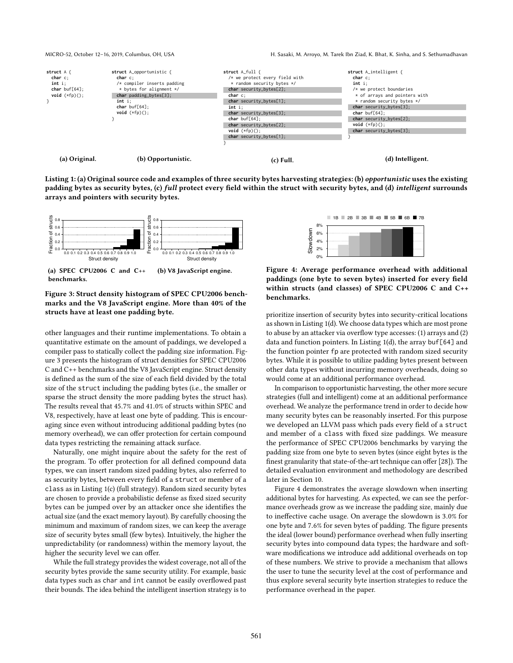MICRO-52, October 12-16, 2019, Columbus, OH, USA H. Sasaki, M. Arroyo, M. Tarek Ibn Ziad, K. Bhat, K. Sinha, and S. Sethumadhavan



Listing 1: (a) Original source code and examples of three security bytes harvesting strategies: (b) opportunistic uses the existing padding bytes as security bytes, (c) full protect every field within the struct with security bytes, and (d) intelligent surrounds arrays and pointers with security bytes.



#### Figure 3: Struct density histogram of SPEC CPU2006 benchmarks and the V8 JavaScript engine. More than 40% of the structs have at least one padding byte.

other languages and their runtime implementations. To obtain a quantitative estimate on the amount of paddings, we developed a compiler pass to statically collect the padding size information. Figure 3 presents the histogram of struct densities for SPEC CPU2006 C and C++ benchmarks and the V8 JavaScript engine. Struct density is defined as the sum of the size of each field divided by the total size of the struct including the padding bytes (i.e., the smaller or sparse the struct density the more padding bytes the struct has). The results reveal that <sup>45</sup>.7% and <sup>41</sup>.0% of structs within SPEC and V8, respectively, have at least one byte of padding. This is encouraging since even without introducing additional padding bytes (no memory overhead), we can offer protection for certain compound data types restricting the remaining attack surface.

Naturally, one might inquire about the safety for the rest of the program. To offer protection for all defined compound data types, we can insert random sized padding bytes, also referred to as security bytes, between every field of a struct or member of a class as in Listing 1(c) (full strategy). Random sized security bytes are chosen to provide a probabilistic defense as fixed sized security bytes can be jumped over by an attacker once she identifies the actual size (and the exact memory layout). By carefully choosing the minimum and maximum of random sizes, we can keep the average size of security bytes small (few bytes). Intuitively, the higher the unpredictability (or randomness) within the memory layout, the higher the security level we can offer.

While the full strategy provides the widest coverage, not all of the security bytes provide the same security utility. For example, basic data types such as char and int cannot be easily overflowed past their bounds. The idea behind the intelligent insertion strategy is to



Figure 4: Average performance overhead with additional paddings (one byte to seven bytes) inserted for every field within structs (and classes) of SPEC CPU2006 C and C++ benchmarks.

prioritize insertion of security bytes into security-critical locations as shown in Listing 1(d). We choose data types which are most prone to abuse by an attacker via overflow type accesses: (1) arrays and (2) data and function pointers. In Listing 1(d), the array buf[64] and the function pointer fp are protected with random sized security bytes. While it is possible to utilize padding bytes present between other data types without incurring memory overheads, doing so would come at an additional performance overhead.

In comparison to opportunistic harvesting, the other more secure strategies (full and intelligent) come at an additional performance overhead. We analyze the performance trend in order to decide how many security bytes can be reasonably inserted. For this purpose we developed an LLVM pass which pads every field of a struct and member of a class with fixed size paddings. We measure the performance of SPEC CPU2006 benchmarks by varying the padding size from one byte to seven bytes (since eight bytes is the finest granularity that state-of-the-art technique can offer [28]). The detailed evaluation environment and methodology are described later in Section 10.

Figure 4 demonstrates the average slowdown when inserting additional bytes for harvesting. As expected, we can see the performance overheads grow as we increase the padding size, mainly due to ineffective cache usage. On average the slowdown is <sup>3</sup>.0% for one byte and <sup>7</sup>.6% for seven bytes of padding. The figure presents the ideal (lower bound) performance overhead when fully inserting security bytes into compound data types; the hardware and software modifications we introduce add additional overheads on top of these numbers. We strive to provide a mechanism that allows the user to tune the security level at the cost of performance and thus explore several security byte insertion strategies to reduce the performance overhead in the paper.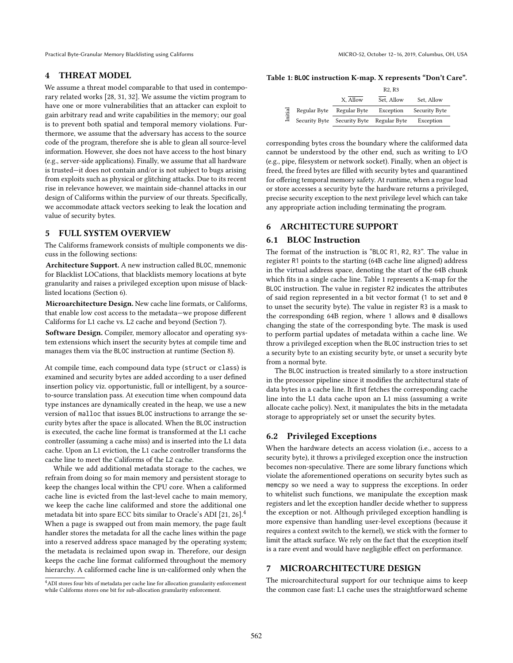# 4 THREAT MODEL

We assume a threat model comparable to that used in contemporary related works [28, 31, 32]. We assume the victim program to have one or more vulnerabilities that an attacker can exploit to gain arbitrary read and write capabilities in the memory; our goal is to prevent both spatial and temporal memory violations. Furthermore, we assume that the adversary has access to the source code of the program, therefore she is able to glean all source-level information. However, she does not have access to the host binary (e.g., server-side applications). Finally, we assume that all hardware is trusted—it does not contain and/or is not subject to bugs arising from exploits such as physical or glitching attacks. Due to its recent rise in relevance however, we maintain side-channel attacks in our design of Califorms within the purview of our threats. Specifically, we accommodate attack vectors seeking to leak the location and value of security bytes.

# 5 FULL SYSTEM OVERVIEW

The Califorms framework consists of multiple components we discuss in the following sections:

Architecture Support. A new instruction called BLOC, mnemonic for Blacklist LOCations, that blacklists memory locations at byte granularity and raises a privileged exception upon misuse of blacklisted locations (Section 6).

Microarchitecture Design. New cache line formats, or Califorms, that enable low cost access to the metadata—we propose different Califorms for L1 cache vs. L2 cache and beyond (Section 7).

Software Design. Compiler, memory allocator and operating system extensions which insert the security bytes at compile time and manages them via the BLOC instruction at runtime (Section 8).

At compile time, each compound data type (struct or class) is examined and security bytes are added according to a user defined insertion policy viz. opportunistic, full or intelligent, by a sourceto-source translation pass. At execution time when compound data type instances are dynamically created in the heap, we use a new version of malloc that issues BLOC instructions to arrange the security bytes after the space is allocated. When the BLOC instruction is executed, the cache line format is transformed at the L1 cache controller (assuming a cache miss) and is inserted into the L1 data cache. Upon an L1 eviction, the L1 cache controller transforms the cache line to meet the Califorms of the L2 cache.

While we add additional metadata storage to the caches, we refrain from doing so for main memory and persistent storage to keep the changes local within the CPU core. When a califormed cache line is evicted from the last-level cache to main memory, we keep the cache line califormed and store the additional one metadata bit into spare ECC bits similar to Oracle's ADI [21, 26].4 When a page is swapped out from main memory, the page fault handler stores the metadata for all the cache lines within the page into a reserved address space managed by the operating system; the metadata is reclaimed upon swap in. Therefore, our design keeps the cache line format califormed throughout the memory hierarchy. A califormed cache line is un-califormed only when the

|         |               |               | R <sub>2</sub> , R <sub>3</sub> |               |
|---------|---------------|---------------|---------------------------------|---------------|
|         |               | X, Allow      | Set, Allow                      | Set, Allow    |
| Initial | Regular Byte  | Regular Byte  | Exception                       | Security Byte |
|         | Security Byte | Security Byte | Regular Byte                    | Exception     |

corresponding bytes cross the boundary where the califormed data cannot be understood by the other end, such as writing to I/O (e.g., pipe, filesystem or network socket). Finally, when an object is freed, the freed bytes are filled with security bytes and quarantined for offering temporal memory safety. At runtime, when a rogue load or store accesses a security byte the hardware returns a privileged, precise security exception to the next privilege level which can take any appropriate action including terminating the program.

# 6 ARCHITECTURE SUPPORT

## 6.1 BLOC Instruction

The format of the instruction is "BLOC R1, R2, R3". The value in register R1 points to the starting (64B cache line aligned) address in the virtual address space, denoting the start of the 64B chunk which fits in a single cache line. Table 1 represents a K-map for the BLOC instruction. The value in register R2 indicates the attributes of said region represented in a bit vector format (1 to set and 0 to unset the security byte). The value in register R3 is a mask to the corresponding 64B region, where 1 allows and 0 disallows changing the state of the corresponding byte. The mask is used to perform partial updates of metadata within a cache line. We throw a privileged exception when the BLOC instruction tries to set a security byte to an existing security byte, or unset a security byte from a normal byte.

The BLOC instruction is treated similarly to a store instruction in the processor pipeline since it modifies the architectural state of data bytes in a cache line. It first fetches the corresponding cache line into the L1 data cache upon an L1 miss (assuming a write allocate cache policy). Next, it manipulates the bits in the metadata storage to appropriately set or unset the security bytes.

# 6.2 Privileged Exceptions

When the hardware detects an access violation (i.e., access to a security byte), it throws a privileged exception once the instruction becomes non-speculative. There are some library functions which violate the aforementioned operations on security bytes such as memcpy so we need a way to suppress the exceptions. In order to whitelist such functions, we manipulate the exception mask registers and let the exception handler decide whether to suppress the exception or not. Although privileged exception handling is more expensive than handling user-level exceptions (because it requires a context switch to the kernel), we stick with the former to limit the attack surface. We rely on the fact that the exception itself is a rare event and would have negligible effect on performance.

# 7 MICROARCHITECTURE DESIGN

The microarchitectural support for our technique aims to keep the common case fast: L1 cache uses the straightforward scheme

<sup>4</sup>ADI stores four bits of metadata per cache line for allocation granularity enforcement while Califorms stores one bit for sub-allocation granularity enforcement.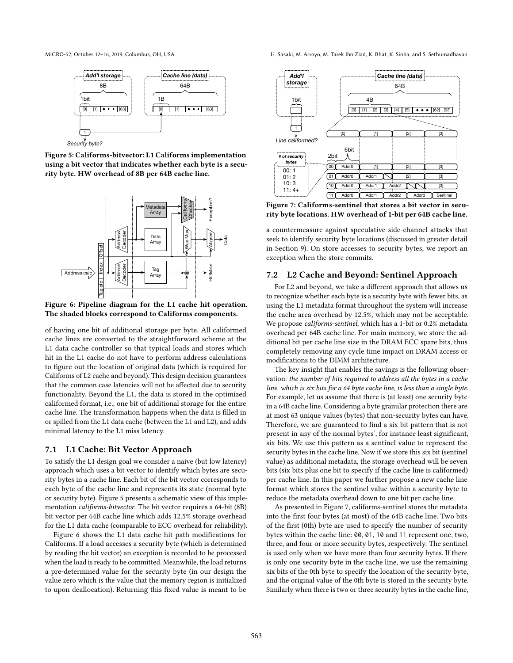

*Security byte?*

Figure 5: Califorms-bitvector: L1 Califorms implementation using a bit vector that indicates whether each byte is a security byte. HW overhead of 8B per 64B cache line.



Figure 6: Pipeline diagram for the L1 cache hit operation. The shaded blocks correspond to Califorms components.

of having one bit of additional storage per byte. All califormed cache lines are converted to the straightforward scheme at the L1 data cache controller so that typical loads and stores which hit in the L1 cache do not have to perform address calculations to figure out the location of original data (which is required for Califorms of L2 cache and beyond). This design decision guarantees that the common case latencies will not be affected due to security functionality. Beyond the L1, the data is stored in the optimized califormed format, i.e., one bit of additional storage for the entire cache line. The transformation happens when the data is filled in or spilled from the L1 data cache (between the L1 and L2), and adds minimal latency to the L1 miss latency.

# 7.1 L1 Cache: Bit Vector Approach

To satisfy the L1 design goal we consider a naive (but low latency) approach which uses a bit vector to identify which bytes are security bytes in a cache line. Each bit of the bit vector corresponds to each byte of the cache line and represents its state (normal byte or security byte). Figure 5 presents a schematic view of this implementation califorms-bitvector. The bit vector requires a 64-bit (8B) bit vector per 64B cache line which adds 12.5% storage overhead for the L1 data cache (comparable to ECC overhead for reliability).

Figure 6 shows the L1 data cache hit path modifications for Califorms. If a load accesses a security byte (which is determined by reading the bit vector) an exception is recorded to be processed when the load is ready to be committed. Meanwhile, the load returns a pre-determined value for the security byte (in our design the value zero which is the value that the memory region is initialized to upon deallocation). Returning this fixed value is meant to be

MICRO-52, October 12-16, 2019, Columbus, OH, USA H. Sasaki, M. Arroyo, M. Tarek Ibn Ziad, K. Bhat, K. Sinha, and S. Sethumadhavan



Figure 7: Califorms-sentinel that stores a bit vector in security byte locations. HW overhead of 1-bit per 64B cache line.

a countermeasure against speculative side-channel attacks that seek to identify security byte locations (discussed in greater detail in Section 9). On store accesses to security bytes, we report an exception when the store commits.

## 7.2 L2 Cache and Beyond: Sentinel Approach

For L2 and beyond, we take a different approach that allows us to recognize whether each byte is a security byte with fewer bits, as using the L1 metadata format throughout the system will increase the cache area overhead by 12.5%, which may not be acceptable. We propose califorms-sentinel, which has a 1-bit or 0.2% metadata overhead per 64B cache line. For main memory, we store the additional bit per cache line size in the DRAM ECC spare bits, thus completely removing any cycle time impact on DRAM access or modifications to the DIMM architecture.

The key insight that enables the savings is the following observation: the number of bits required to address all the bytes in a cache line, which is six bits for a 64 byte cache line, is less than a single byte. For example, let us assume that there is (at least) one security byte in a 64B cache line. Considering a byte granular protection there are at most 63 unique values (bytes) that non-security bytes can have. Therefore, we are guaranteed to find a six bit pattern that is not present in any of the normal bytes', for instance least significant, six bits. We use this pattern as a sentinel value to represent the security bytes in the cache line. Now if we store this six bit (sentinel value) as additional metadata, the storage overhead will be seven bits (six bits plus one bit to specify if the cache line is califormed) per cache line. In this paper we further propose a new cache line format which stores the sentinel value within a security byte to reduce the metadata overhead down to one bit per cache line.

As presented in Figure 7, califorms-sentinel stores the metadata into the first four bytes (at most) of the 64B cache line. Two bits of the first (0th) byte are used to specify the number of security bytes within the cache line: 00, 01, 10 and 11 represent one, two, three, and four or more security bytes, respectively. The sentinel is used only when we have more than four security bytes. If there is only one security byte in the cache line, we use the remaining six bits of the 0th byte to specify the location of the security byte, and the original value of the 0th byte is stored in the security byte. Similarly when there is two or three security bytes in the cache line,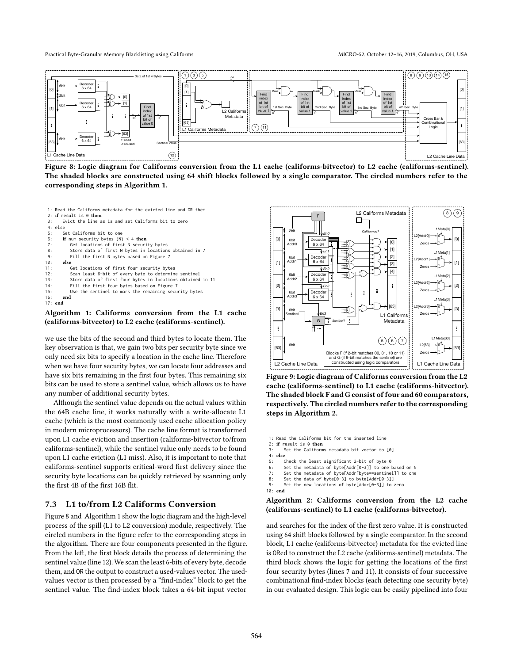

Figure 8: Logic diagram for Califorms conversion from the L1 cache (califorms-bitvector) to L2 cache (califorms-sentinel). The shaded blocks are constructed using 64 shift blocks followed by a single comparator. The circled numbers refer to the corresponding steps in Algorithm 1.



## Algorithm 1: Califorms conversion from the L1 cache (califorms-bitvector) to L2 cache (califorms-sentinel).

we use the bits of the second and third bytes to locate them. The key observation is that, we gain two bits per security byte since we only need six bits to specify a location in the cache line. Therefore when we have four security bytes, we can locate four addresses and have six bits remaining in the first four bytes. This remaining six bits can be used to store a sentinel value, which allows us to have any number of additional security bytes.

Although the sentinel value depends on the actual values within the 64B cache line, it works naturally with a write-allocate L1 cache (which is the most commonly used cache allocation policy in modern microprocessors). The cache line format is transformed upon L1 cache eviction and insertion (califorms-bitvector to/from califorms-sentinel), while the sentinel value only needs to be found upon L1 cache eviction (L1 miss). Also, it is important to note that califorms-sentinel supports critical-word first delivery since the security byte locations can be quickly retrieved by scanning only the first 4B of the first 16B flit.

# 7.3 L1 to/from L2 Califorms Conversion

Figure 8 and Algorithm 1 show the logic diagram and the high-level process of the spill (L1 to L2 conversion) module, respectively. The circled numbers in the figure refer to the corresponding steps in the algorithm. There are four components presented in the figure. From the left, the first block details the process of determining the sentinel value (line 12). We scan the least 6-bits of every byte, decode them, and OR the output to construct a used-values vector. The usedvalues vector is then processed by a "find-index" block to get the sentinel value. The find-index block takes a 64-bit input vector



Figure 9: Logic diagram of Califorms conversion from the L2 cache (califorms-sentinel) to L1 cache (califorms-bitvector). The shaded block F and G consist of four and 60 comparators, respectively. The circled numbers refer to the corresponding steps in Algorithm 2.

- 1: Read the Califorms bit for the inserted line<br>2: if result is  $\theta$  then
- 2: if result is  $\theta$  then<br>3: Set the Caliform
- 3: Set the Califorms metadata bit vector to [0]<br>4: else
- 4: else<br>5:  $\frac{6}{5}$
- 5: Check the least significant 2-bit of byte 0<br>6: Set the metadata of byte Addr [0-3]] to one
- 6: Set the metadata of byte[Addr[0-3]] to one based on 5<br>7: Set the metadata of byte[Addr[byte==sentine]]] to one
- 7: Set the metadata of byte[Addr[byte==sentinel]] to one<br>8: Set the data of byte[0-3] to byte[Addr[0-3]] Set the data of byte[0-3] to byte[Addr[0-3]]
- 9: Set the new locations of byte[Addr[0-3]] to zero
- $10:$

## Algorithm 2: Califorms conversion from the L2 cache (califorms-sentinel) to L1 cache (califorms-bitvector).

and searches for the index of the first zero value. It is constructed using 64 shift blocks followed by a single comparator. In the second block, L1 cache (califorms-bitvector) metadata for the evicted line is ORed to construct the L2 cache (califorms-sentinel) metadata. The third block shows the logic for getting the locations of the first four security bytes (lines 7 and 11). It consists of four successive combinational find-index blocks (each detecting one security byte) in our evaluated design. This logic can be easily pipelined into four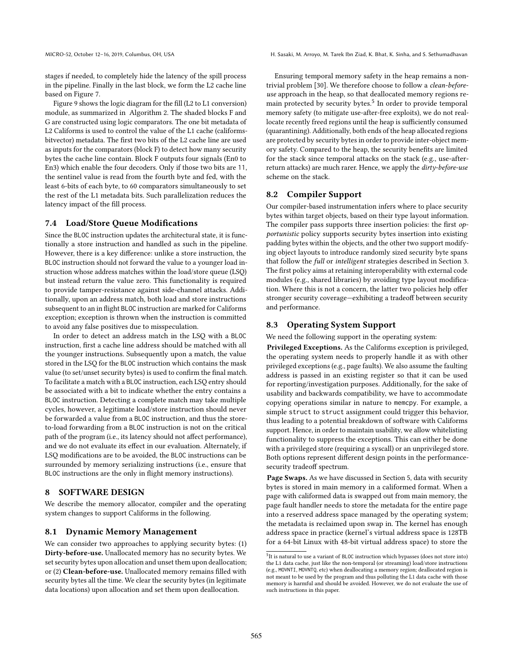stages if needed, to completely hide the latency of the spill process

in the pipeline. Finally in the last block, we form the L2 cache line based on Figure 7.

Figure 9 shows the logic diagram for the fill (L2 to L1 conversion) module, as summarized in Algorithm 2. The shaded blocks F and G are constructed using logic comparators. The one bit metadata of L2 Califorms is used to control the value of the L1 cache (califormsbitvector) metadata. The first two bits of the L2 cache line are used as inputs for the comparators (block F) to detect how many security bytes the cache line contain. Block F outputs four signals (En0 to En3) which enable the four decoders. Only if those two bits are 11, the sentinel value is read from the fourth byte and fed, with the least 6-bits of each byte, to 60 comparators simultaneously to set the rest of the L1 metadata bits. Such parallelization reduces the latency impact of the fill process.

## 7.4 Load/Store Queue Modifications

Since the BLOC instruction updates the architectural state, it is functionally a store instruction and handled as such in the pipeline. However, there is a key difference: unlike a store instruction, the BLOC instruction should not forward the value to a younger load instruction whose address matches within the load/store queue (LSQ) but instead return the value zero. This functionality is required to provide tamper-resistance against side-channel attacks. Additionally, upon an address match, both load and store instructions subsequent to an in flight BLOC instruction are marked for Califorms exception; exception is thrown when the instruction is committed to avoid any false positives due to misspeculation.

In order to detect an address match in the LSQ with a BLOC instruction, first a cache line address should be matched with all the younger instructions. Subsequently upon a match, the value stored in the LSQ for the BLOC instruction which contains the mask value (to set/unset security bytes) is used to confirm the final match. To facilitate a match with a BLOC instruction, each LSQ entry should be associated with a bit to indicate whether the entry contains a BLOC instruction. Detecting a complete match may take multiple cycles, however, a legitimate load/store instruction should never be forwarded a value from a BLOC instruction, and thus the storeto-load forwarding from a BLOC instruction is not on the critical path of the program (i.e., its latency should not affect performance), and we do not evaluate its effect in our evaluation. Alternately, if LSQ modifications are to be avoided, the BLOC instructions can be surrounded by memory serializing instructions (i.e., ensure that BLOC instructions are the only in flight memory instructions).

## 8 SOFTWARE DESIGN

We describe the memory allocator, compiler and the operating system changes to support Califorms in the following.

# 8.1 Dynamic Memory Management

We can consider two approaches to applying security bytes: (1) Dirty-before-use. Unallocated memory has no security bytes. We set security bytes upon allocation and unset them upon deallocation; or (2) Clean-before-use. Unallocated memory remains filled with security bytes all the time. We clear the security bytes (in legitimate data locations) upon allocation and set them upon deallocation.

MICRO-52, October 12-16, 2019, Columbus, OH, USA H. Sasaki, M. Arroyo, M. Tarek Ibn Ziad, K. Bhat, K. Sinha, and S. Sethumadhavan

Ensuring temporal memory safety in the heap remains a nontrivial problem [30]. We therefore choose to follow a clean-beforeuse approach in the heap, so that deallocated memory regions remain protected by security bytes.<sup>5</sup> In order to provide temporal memory safety (to mitigate use-after-free exploits), we do not reallocate recently freed regions until the heap is sufficiently consumed (quarantining). Additionally, both ends of the heap allocated regions are protected by security bytes in order to provide inter-object memory safety. Compared to the heap, the security benefits are limited for the stack since temporal attacks on the stack (e.g., use-afterreturn attacks) are much rarer. Hence, we apply the  $dirly \text{-} before \text{-}use$ scheme on the stack.

## 8.2 Compiler Support

Our compiler-based instrumentation infers where to place security bytes within target objects, based on their type layout information. The compiler pass supports three insertion policies: the first opportunistic policy supports security bytes insertion into existing padding bytes within the objects, and the other two support modifying object layouts to introduce randomly sized security byte spans that follow the full or intelligent strategies described in Section 3. The first policy aims at retaining interoperability with external code modules (e.g., shared libraries) by avoiding type layout modification. Where this is not a concern, the latter two policies help offer stronger security coverage—exhibiting a tradeoff between security and performance.

# 8.3 Operating System Support

We need the following support in the operating system:

Privileged Exceptions. As the Califorms exception is privileged, the operating system needs to properly handle it as with other privileged exceptions (e.g., page faults). We also assume the faulting address is passed in an existing register so that it can be used for reporting/investigation purposes. Additionally, for the sake of usability and backwards compatibility, we have to accommodate copying operations similar in nature to memcpy. For example, a simple struct to struct assignment could trigger this behavior, thus leading to a potential breakdown of software with Califorms support. Hence, in order to maintain usability, we allow whitelisting functionality to suppress the exceptions. This can either be done with a privileged store (requiring a syscall) or an unprivileged store. Both options represent different design points in the performancesecurity tradeoff spectrum.

Page Swaps. As we have discussed in Section 5, data with security bytes is stored in main memory in a califormed format. When a page with califormed data is swapped out from main memory, the page fault handler needs to store the metadata for the entire page into a reserved address space managed by the operating system; the metadata is reclaimed upon swap in. The kernel has enough address space in practice (kernel's virtual address space is 128TB for a 64-bit Linux with 48-bit virtual address space) to store the

<sup>&</sup>lt;sup>5</sup>It is natural to use a variant of BLOC instruction which bypasses (does not store into) the L1 data cache, just like the non-temporal (or streaming) load/store instructions (e.g., MOVNTI, MOVNTQ, etc) when deallocating a memory region; deallocated region is not meant to be used by the program and thus polluting the L1 data cache with those memory is harmful and should be avoided. However, we do not evaluate the use of such instructions in this paper.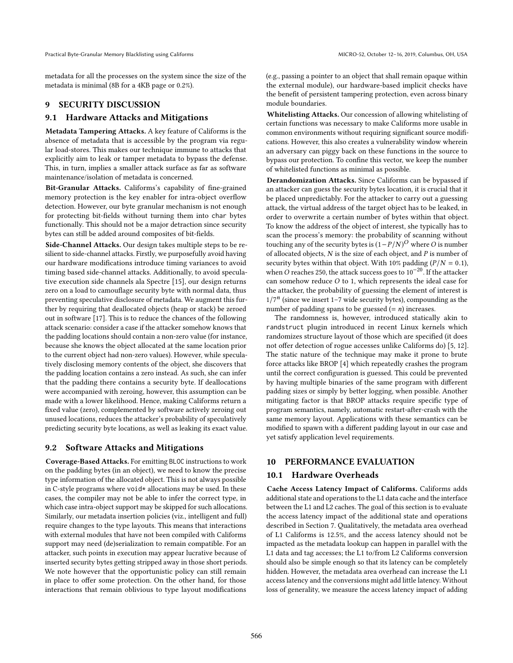metadata for all the processes on the system since the size of the metadata is minimal (8B for a 4KB page or 0.2%).

## 9 SECURITY DISCUSSION

#### 9.1 Hardware Attacks and Mitigations

Metadata Tampering Attacks. A key feature of Califorms is the absence of metadata that is accessible by the program via regular load-stores. This makes our technique immune to attacks that explicitly aim to leak or tamper metadata to bypass the defense. This, in turn, implies a smaller attack surface as far as software maintenance/isolation of metadata is concerned.

Bit-Granular Attacks. Califorms's capability of fine-grained memory protection is the key enabler for intra-object overflow detection. However, our byte granular mechanism is not enough for protecting bit-fields without turning them into char bytes functionally. This should not be a major detraction since security bytes can still be added around composites of bit-fields.

Side-Channel Attacks. Our design takes multiple steps to be resilient to side-channel attacks. Firstly, we purposefully avoid having our hardware modifications introduce timing variances to avoid timing based side-channel attacks. Additionally, to avoid speculative execution side channels ala Spectre [15], our design returns zero on a load to camouflage security byte with normal data, thus preventing speculative disclosure of metadata. We augment this further by requiring that deallocated objects (heap or stack) be zeroed out in software [17]. This is to reduce the chances of the following attack scenario: consider a case if the attacker somehow knows that the padding locations should contain a non-zero value (for instance, because she knows the object allocated at the same location prior to the current object had non-zero values). However, while speculatively disclosing memory contents of the object, she discovers that the padding location contains a zero instead. As such, she can infer that the padding there contains a security byte. If deallocations were accompanied with zeroing, however, this assumption can be made with a lower likelihood. Hence, making Califorms return a fixed value (zero), complemented by software actively zeroing out unused locations, reduces the attacker's probability of speculatively predicting security byte locations, as well as leaking its exact value.

#### 9.2 Software Attacks and Mitigations

Coverage-Based Attacks. For emitting BLOC instructions to work on the padding bytes (in an object), we need to know the precise type information of the allocated object. This is not always possible in C-style programs where void\* allocations may be used. In these cases, the compiler may not be able to infer the correct type, in which case intra-object support may be skipped for such allocations. Similarly, our metadata insertion policies (viz., intelligent and full) require changes to the type layouts. This means that interactions with external modules that have not been compiled with Califorms support may need (de)serialization to remain compatible. For an attacker, such points in execution may appear lucrative because of inserted security bytes getting stripped away in those short periods. We note however that the opportunistic policy can still remain in place to offer some protection. On the other hand, for those interactions that remain oblivious to type layout modifications

(e.g., passing a pointer to an object that shall remain opaque within the external module), our hardware-based implicit checks have the benefit of persistent tampering protection, even across binary module boundaries.

Whitelisting Attacks. Our concession of allowing whitelisting of certain functions was necessary to make Califorms more usable in common environments without requiring significant source modifications. However, this also creates a vulnerability window wherein an adversary can piggy back on these functions in the source to bypass our protection. To confine this vector, we keep the number of whitelisted functions as minimal as possible.

Derandomization Attacks. Since Califorms can be bypassed if an attacker can guess the security bytes location, it is crucial that it be placed unpredictably. For the attacker to carry out a guessing attack, the virtual address of the target object has to be leaked, in order to overwrite a certain number of bytes within that object. To know the address of the object of interest, she typically has to scan the process's memory: the probability of scanning without touching any of the security bytes is  $(1 - P/N)^{O}$  where O is number of allocated objects,  $N$  is the size of each object, and  $P$  is number of security bytes within that object. With 10% padding  $(P/N = 0.1)$ , when O reaches 250, the attack success goes to  $10^{-20}$ . If the attacker can somehow reduce O to 1, which represents the ideal case for the attacker, the probability of guessing the element of interest is  $1/7^n$  (since we insert 1–7 wide security bytes), compounding as the number of padding spans to be guessed  $(= n)$  increases.

The randomness is, however, introduced statically akin to randstruct plugin introduced in recent Linux kernels which randomizes structure layout of those which are specified (it does not offer detection of rogue accesses unlike Califorms do) [5, 12]. The static nature of the technique may make it prone to brute force attacks like BROP [4] which repeatedly crashes the program until the correct configuration is guessed. This could be prevented by having multiple binaries of the same program with different padding sizes or simply by better logging, when possible. Another mitigating factor is that BROP attacks require specific type of program semantics, namely, automatic restart-after-crash with the same memory layout. Applications with these semantics can be modified to spawn with a different padding layout in our case and yet satisfy application level requirements.

#### 10 PERFORMANCE EVALUATION

#### 10.1 Hardware Overheads

Cache Access Latency Impact of Califorms. Califorms adds additional state and operations to the L1 data cache and the interface between the L1 and L2 caches. The goal of this section is to evaluate the access latency impact of the additional state and operations described in Section 7. Qualitatively, the metadata area overhead of L1 Califorms is 12.5%, and the access latency should not be impacted as the metadata lookup can happen in parallel with the L1 data and tag accesses; the L1 to/from L2 Califorms conversion should also be simple enough so that its latency can be completely hidden. However, the metadata area overhead can increase the L1 access latency and the conversions might add little latency. Without loss of generality, we measure the access latency impact of adding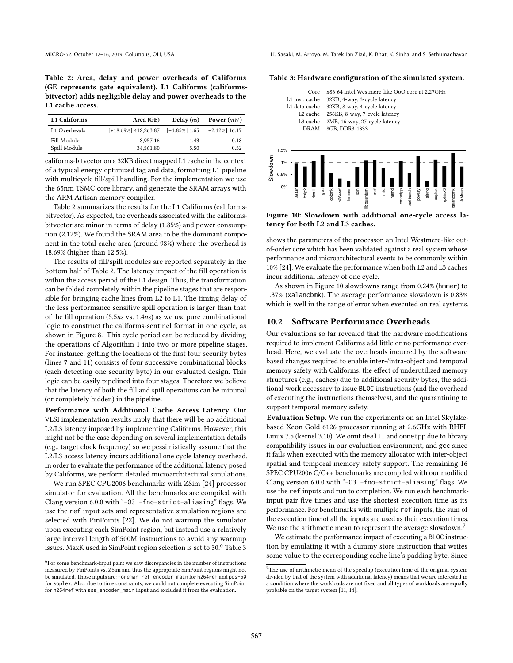Table 2: Area, delay and power overheads of Califorms (GE represents gate equivalent). L1 Califorms (califormsbitvector) adds negligible delay and power overheads to the L1 cache access.

| <b>L1 Califorms</b> | Area (GE)               | Delay $(ns)$ | Power $(mW)$                       |
|---------------------|-------------------------|--------------|------------------------------------|
| L1 Overheads        | $[-18.69\%]$ 412,263.87 |              | $[-1.85\%]$ 1.65 $[-2.12\%]$ 16.17 |
| Fill Module         | 8,957.16                | 1.43         | 0.18                               |
| Spill Module        | 34.561.80               | 5.50         | 0.52                               |

califorms-bitvector on a 32KB direct mapped L1 cache in the context of a typical energy optimized tag and data, formatting L1 pipeline with multicycle fill/spill handling. For the implementation we use the 65nm TSMC core library, and generate the SRAM arrays with the ARM Artisan memory compiler.

Table 2 summarizes the results for the L1 Califorms (califormsbitvector). As expected, the overheads associated with the califormsbitvector are minor in terms of delay (1.85%) and power consumption (2.12%). We found the SRAM area to be the dominant component in the total cache area (around 98%) where the overhead is 18.69% (higher than 12.5%).

The results of fill/spill modules are reported separately in the bottom half of Table 2. The latency impact of the fill operation is within the access period of the L1 design. Thus, the transformation can be folded completely within the pipeline stages that are responsible for bringing cache lines from L2 to L1. The timing delay of the less performance sensitive spill operation is larger than that of the fill operation (5.5ns vs. 1.4ns) as we use pure combinational logic to construct the califorms-sentinel format in one cycle, as shown in Figure 8. This cycle period can be reduced by dividing the operations of Algorithm 1 into two or more pipeline stages. For instance, getting the locations of the first four security bytes (lines 7 and 11) consists of four successive combinational blocks (each detecting one security byte) in our evaluated design. This logic can be easily pipelined into four stages. Therefore we believe that the latency of both the fill and spill operations can be minimal (or completely hidden) in the pipeline.

Performance with Additional Cache Access Latency. Our VLSI implementation results imply that there will be no additional L2/L3 latency imposed by implementing Califorms. However, this might not be the case depending on several implementation details (e.g., target clock frequency) so we pessimistically assume that the L2/L3 access latency incurs additional one cycle latency overhead. In order to evaluate the performance of the additional latency posed by Califorms, we perform detailed microarchitectural simulations.

We run SPEC CPU2006 benchmarks with ZSim [24] processor simulator for evaluation. All the benchmarks are compiled with Clang version 6.0.0 with "-O3 -fno-strict-aliasing" flags. We use the ref input sets and representative simulation regions are selected with PinPoints [22]. We do not warmup the simulator upon executing each SimPoint region, but instead use a relatively large interval length of 500M instructions to avoid any warmup issues. MaxK used in SimPoint region selection is set to 30.<sup>6</sup> Table 3

MICRO-52, October 12-16, 2019, Columbus, OH, USA H. Sasaki, M. Arroyo, M. Tarek Ibn Ziad, K. Bhat, K. Sinha, and S. Sethumadhavan

Table 3: Hardware configuration of the simulated system.

|          |      |                |       |                      |     |                                                |         |                |              | ibquantum                     |     |               |      | omnetpp | peribench |        |       |        |         | xalancbmk |       |
|----------|------|----------------|-------|----------------------|-----|------------------------------------------------|---------|----------------|--------------|-------------------------------|-----|---------------|------|---------|-----------|--------|-------|--------|---------|-----------|-------|
|          | 0%   | astar          | bzip2 | deall                | gcc | gobmk                                          | h264ref | hmmer          | $\mathsf{E}$ |                               | mcf | $\frac{1}{E}$ | namd |         |           | povray | sjeng | soplex | sphinx3 |           | AMean |
|          |      |                |       |                      |     |                                                |         |                |              |                               |     |               |      |         |           |        |       |        |         |           |       |
|          | 0.5% |                |       |                      |     |                                                |         |                |              |                               |     |               |      |         |           |        |       |        |         |           |       |
| Slowdown | 1%   |                |       |                      |     |                                                |         |                |              |                               |     |               |      |         |           |        |       |        |         |           |       |
|          | 1.5% |                |       |                      |     |                                                |         |                |              |                               |     |               |      |         |           |        |       |        |         |           |       |
|          |      |                |       |                      |     |                                                |         |                |              |                               |     |               |      |         |           |        |       |        |         |           |       |
|          |      |                |       | <b>DRAM</b>          |     |                                                |         | 8GB, DDR3-1333 |              |                               |     |               |      |         |           |        |       |        |         |           |       |
|          |      |                |       | L3 cache             |     |                                                |         |                |              | 2MB, 16-way, 27-cycle latency |     |               |      |         |           |        |       |        |         |           |       |
|          |      |                |       | L <sub>2</sub> cache |     | 256KB, 8-way, 7-cycle latency                  |         |                |              |                               |     |               |      |         |           |        |       |        |         |           |       |
|          |      | L1 data cache  |       |                      |     | 32KB, 8-way, 4-cycle latency                   |         |                |              |                               |     |               |      |         |           |        |       |        |         |           |       |
|          |      | L1 inst. cache |       |                      |     | 32KB, 4-way, 3-cycle latency                   |         |                |              |                               |     |               |      |         |           |        |       |        |         |           |       |
|          |      |                |       | Core                 |     | x86-64 Intel Westmere-like OoO core at 2.27GHz |         |                |              |                               |     |               |      |         |           |        |       |        |         |           |       |
|          |      |                |       |                      |     |                                                |         |                |              |                               |     |               |      |         |           |        |       |        |         |           |       |

Figure 10: Slowdown with additional one-cycle access latency for both L2 and L3 caches.

shows the parameters of the processor, an Intel Westmere-like outof-order core which has been validated against a real system whose performance and microarchitectural events to be commonly within 10% [24]. We evaluate the performance when both L2 and L3 caches incur additional latency of one cycle.

As shown in Figure 10 slowdowns range from 0.24% (hmmer) to 1.37% (xalancbmk). The average performance slowdown is 0.83% which is well in the range of error when executed on real systems.

#### 10.2 Software Performance Overheads

Our evaluations so far revealed that the hardware modifications required to implement Califorms add little or no performance overhead. Here, we evaluate the overheads incurred by the software based changes required to enable inter-/intra-object and temporal memory safety with Califorms: the effect of underutilized memory structures (e.g., caches) due to additional security bytes, the additional work necessary to issue BLOC instructions (and the overhead of executing the instructions themselves), and the quarantining to support temporal memory safety.

Evaluation Setup. We run the experiments on an Intel Skylakebased Xeon Gold 6126 processor running at 2.6GHz with RHEL Linux 7.5 (kernel 3.10). We omit dealII and omnetpp due to library compatibility issues in our evaluation environment, and gcc since it fails when executed with the memory allocator with inter-object spatial and temporal memory safety support. The remaining 16 SPEC CPU2006 C/C++ benchmarks are compiled with our modified Clang version 6.0.0 with "-O3 -fno-strict-aliasing" flags. We use the ref inputs and run to completion. We run each benchmarkinput pair five times and use the shortest execution time as its performance. For benchmarks with multiple ref inputs, the sum of the execution time of all the inputs are used as their execution times. We use the arithmetic mean to represent the average slowdown.<sup>7</sup>

We estimate the performance impact of executing a BLOC instruction by emulating it with a dummy store instruction that writes some value to the corresponding cache line's padding byte. Since

<sup>&</sup>lt;sup>6</sup>For some benchmark-input pairs we saw discrepancies in the number of instructions measured by PinPoints vs. ZSim and thus the appropriate SimPoint regions might not be simulated. Those inputs are: foreman\_ref\_encoder\_main for h264ref and pds-50 for soplex. Also, due to time constraints, we could not complete executing SimPoint for h264ref with sss\_encoder\_main input and excluded it from the evaluation.

 ${\rm ^7The}$  use of arithmetic mean of the speedup (execution time of the original system divided by that of the system with additional latency) means that we are interested in a condition where the workloads are not fixed and all types of workloads are equally probable on the target system [11, 14].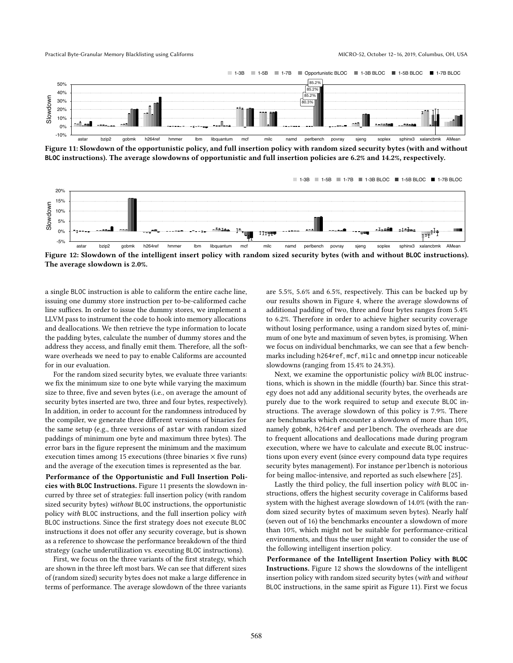

Figure 11: Slowdown of the opportunistic policy, and full insertion policy with random sized security bytes (with and without **BLOC** instructions). The average slowdowns of opportunistic and full insertion policies are 6.2% and 14.2%, respectively.



Figure 12: Slowdown of the intelligent insert policy with random sized security bytes (with and without **BLOC** instructions). The average slowdown is 2.0%.

a single BLOC instruction is able to caliform the entire cache line, issuing one dummy store instruction per to-be-califormed cache line suffices. In order to issue the dummy stores, we implement a LLVM pass to instrument the code to hook into memory allocations and deallocations. We then retrieve the type information to locate the padding bytes, calculate the number of dummy stores and the address they access, and finally emit them. Therefore, all the software overheads we need to pay to enable Califorms are accounted for in our evaluation.

For the random sized security bytes, we evaluate three variants: we fix the minimum size to one byte while varying the maximum size to three, five and seven bytes (i.e., on average the amount of security bytes inserted are two, three and four bytes, respectively). In addition, in order to account for the randomness introduced by the compiler, we generate three different versions of binaries for the same setup (e.g., three versions of astar with random sized paddings of minimum one byte and maximum three bytes). The error bars in the figure represent the minimum and the maximum execution times among 15 executions (three binaries  $\times$  five runs) and the average of the execution times is represented as the bar.

Performance of the Opportunistic and Full Insertion Policies with **BLOC** Instructions. Figure 11 presents the slowdown incurred by three set of strategies: full insertion policy (with random sized security bytes) without BLOC instructions, the opportunistic policy with BLOC instructions, and the full insertion policy with BLOC instructions. Since the first strategy does not execute BLOC instructions it does not offer any security coverage, but is shown as a reference to showcase the performance breakdown of the third strategy (cache underutilization vs. executing BLOC instructions).

First, we focus on the three variants of the first strategy, which are shown in the three left most bars. We can see that different sizes of (random sized) security bytes does not make a large difference in terms of performance. The average slowdown of the three variants

are 5.5%, 5.6% and 6.5%, respectively. This can be backed up by our results shown in Figure 4, where the average slowdowns of additional padding of two, three and four bytes ranges from 5.4% to 6.2%. Therefore in order to achieve higher security coverage without losing performance, using a random sized bytes of, minimum of one byte and maximum of seven bytes, is promising. When we focus on individual benchmarks, we can see that a few benchmarks including h264ref, mcf, milc and omnetpp incur noticeable slowdowns (ranging from 15.4% to 24.3%).

Next, we examine the opportunistic policy with BLOC instructions, which is shown in the middle (fourth) bar. Since this strategy does not add any additional security bytes, the overheads are purely due to the work required to setup and execute BLOC instructions. The average slowdown of this policy is 7.9%. There are benchmarks which encounter a slowdown of more than 10%, namely gobmk, h264ref and perlbench. The overheads are due to frequent allocations and deallocations made during program execution, where we have to calculate and execute BLOC instructions upon every event (since every compound data type requires security bytes management). For instance perlbench is notorious for being malloc-intensive, and reported as such elsewhere [25].

Lastly the third policy, the full insertion policy with BLOC instructions, offers the highest security coverage in Califorms based system with the highest average slowdown of 14.0% (with the random sized security bytes of maximum seven bytes). Nearly half (seven out of 16) the benchmarks encounter a slowdown of more than 10%, which might not be suitable for performance-critical environments, and thus the user might want to consider the use of the following intelligent insertion policy.

Performance of the Intelligent Insertion Policy with **BLOC** Instructions. Figure 12 shows the slowdowns of the intelligent insertion policy with random sized security bytes (with and without BLOC instructions, in the same spirit as Figure 11). First we focus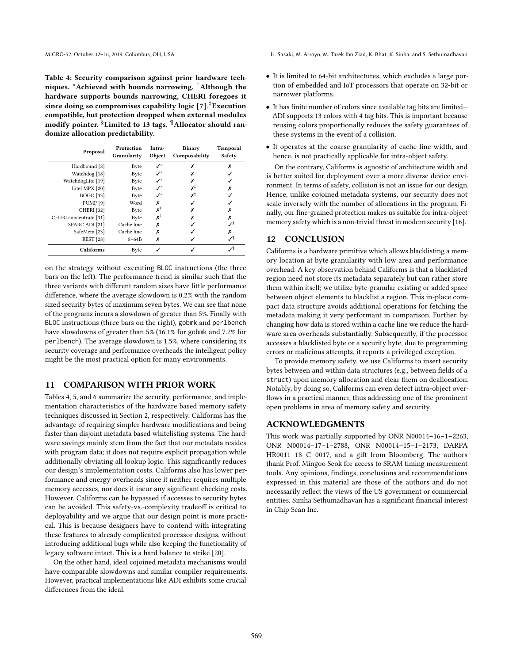Table 4: Security comparison against prior hardware techniques. <sup>∗</sup>Achieved with bounds narrowing. †Although the hardware supports bounds narrowing, CHERI foregoes it since doing so compromises capability logic [7]. ‡Execution compatible, but protection dropped when external modules modify pointer. §Limited to 13 tags. ¶Allocator should randomize allocation predictability.

| Proposal                | Protection<br>Granularity | Intra-<br>Object   | <b>Binary</b><br>Composability | Temporal<br>Safety |
|-------------------------|---------------------------|--------------------|--------------------------------|--------------------|
| Hardbound [8]           | Byte                      | ╱                  |                                |                    |
| Watchdog [18]           | Byte                      | ✓∗                 |                                |                    |
| WatchdogLite [19]       | Byte                      | ╱                  |                                |                    |
| Intel MPX [20]          | Byte                      |                    | χŦ                             |                    |
| <b>BOGO</b> [33]        | Byte                      | $\boldsymbol{J}^*$ | χ‡                             |                    |
| PUMP <sup>[9]</sup>     | Word                      |                    |                                |                    |
| CHERI <sup>[32]</sup>   | Byte                      | x٦                 |                                |                    |
| CHERI concentrate [31]  | Byte                      | X١                 |                                |                    |
| SPARC ADI [21]          | Cache line                |                    |                                |                    |
| SafeMem <sup>[23]</sup> | Cache line                |                    |                                |                    |
| <b>REST</b> [28]        | $8 - 64B$                 | х                  |                                |                    |
| <b>Califorms</b>        | Byte                      |                    |                                |                    |

on the strategy without executing BLOC instructions (the three bars on the left). The performance trend is similar such that the three variants with different random sizes have little performance difference, where the average slowdown is 0.2% with the random sized security bytes of maximum seven bytes. We can see that none of the programs incurs a slowdown of greater than 5%. Finally with BLOC instructions (three bars on the right), gobmk and perlbench have slowdowns of greater than 5% (16.1% for gobmk and 7.2% for perlbench). The average slowdown is 1.5%, where considering its security coverage and performance overheads the intelligent policy might be the most practical option for many environments.

#### 11 COMPARISON WITH PRIOR WORK

Tables 4, 5, and 6 summarize the security, performance, and implementation characteristics of the hardware based memory safety techniques discussed in Section 2, respectively. Califorms has the advantage of requiring simpler hardware modifications and being faster than disjoint metadata based whitelisting systems. The hardware savings mainly stem from the fact that our metadata resides with program data; it does not require explicit propagation while additionally obviating all lookup logic. This significantly reduces our design's implementation costs. Califorms also has lower performance and energy overheads since it neither requires multiple memory accesses, nor does it incur any significant checking costs. However, Califorms can be bypassed if accesses to security bytes can be avoided. This safety-vs.-complexity tradeoff is critical to deployability and we argue that our design point is more practical. This is because designers have to contend with integrating these features to already complicated processor designs, without introducing additional bugs while also keeping the functionality of legacy software intact. This is a hard balance to strike [20].

On the other hand, ideal cojoined metadata mechanisms would have comparable slowdowns and similar compiler requirements. However, practical implementations like ADI exhibits some crucial differences from the ideal.

- It is limited to 64-bit architectures, which excludes a large portion of embedded and IoT processors that operate on 32-bit or narrower platforms.
- It has finite number of colors since available tag bits are limited— ADI supports 13 colors with 4 tag bits. This is important because reusing colors proportionally reduces the safety guarantees of these systems in the event of a collision.
- It operates at the coarse granularity of cache line width, and hence, is not practically applicable for intra-object safety.

On the contrary, Califorms is agnostic of architecture width and is better suited for deployment over a more diverse device environment. In terms of safety, collision is not an issue for our design. Hence, unlike cojoined metadata systems, our security does not scale inversely with the number of allocations in the program. Finally, our fine-grained protection makes us suitable for intra-object memory safety which is a non-trivial threat in modern security [16].

# 12 CONCLUSION

Califorms is a hardware primitive which allows blacklisting a memory location at byte granularity with low area and performance overhead. A key observation behind Califorms is that a blacklisted region need not store its metadata separately but can rather store them within itself; we utilize byte-granular existing or added space between object elements to blacklist a region. This in-place compact data structure avoids additional operations for fetching the metadata making it very performant in comparison. Further, by changing how data is stored within a cache line we reduce the hardware area overheads substantially. Subsequently, if the processor accesses a blacklisted byte or a security byte, due to programming errors or malicious attempts, it reports a privileged exception.

To provide memory safety, we use Califorms to insert security bytes between and within data structures (e.g., between fields of a struct) upon memory allocation and clear them on deallocation. Notably, by doing so, Califorms can even detect intra-object overflows in a practical manner, thus addressing one of the prominent open problems in area of memory safety and security.

#### ACKNOWLEDGMENTS

This work was partially supported by ONR N00014–16–1–2263, ONR N00014–17–1–2788, ONR N00014–15–1–2173, DARPA HR0011–18–C–0017, and a gift from Bloomberg. The authors thank Prof. Mingoo Seok for access to SRAM timing measurement tools. Any opinions, findings, conclusions and recommendations expressed in this material are those of the authors and do not necessarily reflect the views of the US government or commercial entities. Simha Sethumadhavan has a significant financial interest in Chip Scan Inc.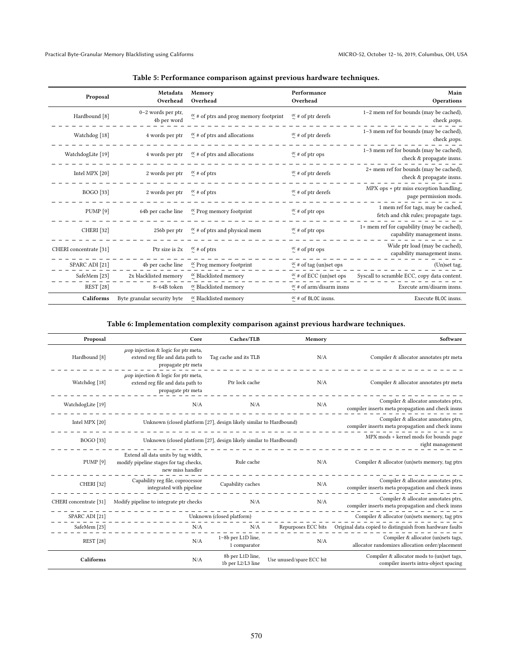| Proposal                | Metadata                          | Memory                                                      | Performance                                          | Main                                                                       |
|-------------------------|-----------------------------------|-------------------------------------------------------------|------------------------------------------------------|----------------------------------------------------------------------------|
|                         | Overhead                          | Overhead                                                    | Overhead                                             | Operations                                                                 |
| Hardbound [8]           | 0-2 words per ptr,<br>4b per word | $\frac{\infty}{\infty}$ # of ptrs and prog memory footprint | $\frac{\infty}{\infty}$ # of ptr derefs              | 1-2 mem ref for bounds (may be cached),<br>check $\mu$ ops.                |
| Watchdog [18]           | 4 words per ptr                   | $\alpha$ # of ptrs and allocations                          | $\frac{\infty}{\infty}$ # of ptr derefs              | 1-3 mem ref for bounds (may be cached),<br>check $\mu$ ops.                |
| WatchdogLite [19]       | 4 words per ptr                   | $\alpha$ # of ptrs and allocations                          | $\frac{\infty}{\infty}$ # of ptr ops                 | 1-3 mem ref for bounds (may be cached),<br>check & propagate insns.        |
| Intel MPX [20]          | 2 words per ptr                   | $\alpha$ # of ptrs                                          | $\frac{\infty}{\infty}$ # of ptr derefs              | 2+ mem ref for bounds (may be cached),<br>check & propagate insns.         |
| <b>BOGO</b> [33]        | 2 words per ptr                   | $\alpha$ # of ptrs                                          | $\alpha \neq 0$ of ptr derefs                        | MPX ops + ptr miss exception handling,<br>page permission mods.            |
| PUMP <sup>[9]</sup>     | 64b per cache line                | $\alpha$ Prog memory footprint                              | $\frac{\infty}{\infty}$ # of ptr ops                 | 1 mem ref for tags, may be cached,<br>fetch and chk rules; propagate tags. |
| CHERI <sup>[32]</sup>   | 256b per ptr                      | $\alpha$ # of ptrs and physical mem                         | $\frac{\infty}{\infty}$ # of ptr ops                 | 1+ mem ref for capability (may be cached),<br>capability management insns. |
| CHERI concentrate [31]  | Ptr size is 2x                    | $\alpha$ # of ptrs                                          | $\frac{\alpha}{\alpha}$ # of ptr ops                 | Wide ptr load (may be cached),<br>capability management insns.             |
| SPARC ADI [21]          | 4b per cache line                 | $\propto$ Prog memory footprint                             | $\underset{\sim}{\propto}$ # of tag (un)set ops      | (Un)set tag.                                                               |
| SafeMem <sup>[23]</sup> | 2x blacklisted memory             | $\propto$ Blacklisted memory                                | $\int_{\infty}^{\infty}$ # of ECC (un)set ops        | Syscall to scramble ECC, copy data content.                                |
| <b>REST</b> [28]        | 8-64B token                       | $\propto$ Blacklisted memory                                | $\underset{\sim}{\propto}$ # of arm/disarm ins<br>ns | Execute arm/disarm insns.                                                  |
| Califorms               | Byte granular security byte       | $\frac{\infty}{\infty}$ Blacklisted memory                  | $\frac{\infty}{\infty}$ # of BLOC insns.             | Execute BLOC insns.                                                        |

| Table 5: Performance comparison against previous hardware techniques. |  |
|-----------------------------------------------------------------------|--|

# Table 6: Implementation complexity comparison against previous hardware techniques.

| Proposal                | Core                                                                                               | Caches/TLB                            | Memory                   | Software                                                                                  |
|-------------------------|----------------------------------------------------------------------------------------------------|---------------------------------------|--------------------------|-------------------------------------------------------------------------------------------|
| Hardbound [8]           | $\mu$ op injection & logic for ptr meta,<br>extend reg file and data path to<br>propagate ptr meta | Tag cache and its TLB                 | N/A                      | Compiler & allocator annotates ptr meta                                                   |
| Watchdog [18]           | $\mu$ op injection & logic for ptr meta,<br>extend reg file and data path to<br>propagate ptr meta | Ptr lock cache                        | N/A                      | Compiler & allocator annotates ptr meta                                                   |
| WatchdogLite [19]       | N/A                                                                                                | N/A                                   | N/A                      | Compiler & allocator annotates ptrs,<br>compiler inserts meta propagation and check insns |
| Intel MPX [20]          | Unknown (closed platform [27], design likely similar to Hardbound)                                 |                                       |                          | Compiler & allocator annotates ptrs,<br>compiler inserts meta propagation and check insns |
| <b>BOGO</b> [33]        | Unknown (closed platform [27], design likely similar to Hardbound)                                 |                                       |                          | MPX mods + kernel mods for bounds page<br>right management                                |
| PUMP <sup>[9]</sup>     | Extend all data units by tag width,<br>modify pipeline stages for tag checks,<br>new miss handler  | Rule cache                            | N/A                      | Compiler & allocator (un)sets memory, tag ptrs                                            |
| <b>CHERI</b> [32]       | Capability reg file, coprocessor<br>integrated with pipeline                                       | Capability caches                     | N/A                      | Compiler & allocator annotates ptrs,<br>compiler inserts meta propagation and check insns |
| CHERI concentrate [31]  | Modify pipeline to integrate ptr checks                                                            | N/A                                   | N/A                      | Compiler & allocator annotates ptrs,<br>compiler inserts meta propagation and check insns |
| SPARC ADI [21]          |                                                                                                    | Unknown (closed platform)             |                          | Compiler & allocator (un)sets memory, tag ptrs                                            |
| SafeMem <sup>[23]</sup> | N/A                                                                                                | N/A                                   | Repurposes ECC bits      | Original data copied to distinguish from hardware faults                                  |
| <b>REST</b> [28]        | N/A                                                                                                | 1-8b per L1D line,<br>1 comparator    | N/A                      | Compiler & allocator (un)sets tags,<br>allocator randomizes allocation order/placement    |
| Califorms               | N/A                                                                                                | 8b per L1D line,<br>1b per L2/L3 line | Use unused/spare ECC bit | Compiler & allocator mods to (un)set tags,<br>compiler inserts intra-object spacing       |